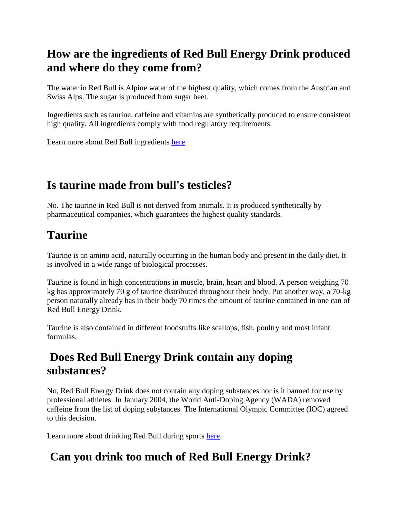#### **How are the ingredients of Red Bull Energy Drink produced and where do they come from?**

The water in Red Bull is Alpine water of the highest quality, which comes from the Austrian and Swiss Alps. The sugar is produced from sugar beet.

Ingredients such as taurine, caffeine and vitamins are synthetically produced to ensure consistent high quality. All ingredients comply with food regulatory requirements.

Learn more about Red Bull ingredients [here.](https://www.redbull.com/int-en/energydrink/red-bull-energy-drink-ingredients-list)

### **Is taurine made from bull's testicles?**

No. The taurine in Red Bull is not derived from animals. It is produced synthetically by pharmaceutical companies, which guarantees the highest quality standards.

# **Taurine**

Taurine is an amino acid, naturally occurring in the human body and present in the daily diet. It is involved in a wide range of biological processes.

Taurine is found in high concentrations in muscle, brain, heart and blood. A person weighing 70 kg has approximately 70 g of taurine distributed throughout their body. Put another way, a 70-kg person naturally already has in their body 70 times the amount of taurine contained in one can of Red Bull Energy Drink.

Taurine is also contained in different foodstuffs like scallops, fish, poultry and most infant formulas.

#### **Does Red Bull Energy Drink contain any doping substances?**

No, Red Bull Energy Drink does not contain any doping substances nor is it banned for use by professional athletes. In January 2004, the World Anti-Doping Agency (WADA) removed caffeine from the list of doping substances. The International Olympic Committee (IOC) agreed to this decision.

Learn more about drinking Red Bull during sports [here.](https://www.redbull.com/int-en/energydrink/are-there-any-recommendations-on-how-red-bull-energy-drink-should-be-used-in-sports)

### **Can you drink too much of Red Bull Energy Drink?**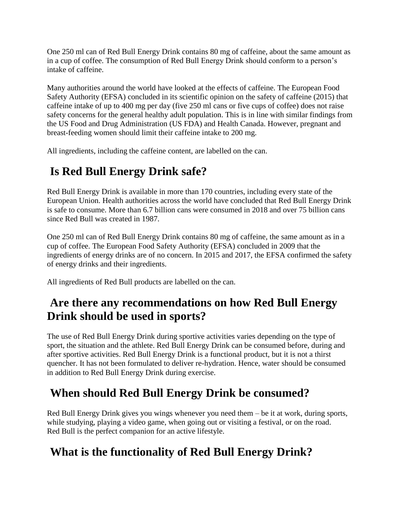One 250 ml can of Red Bull Energy Drink contains 80 mg of caffeine, about the same amount as in a cup of coffee. The consumption of Red Bull Energy Drink should conform to a person's intake of caffeine.

Many authorities around the world have looked at the effects of caffeine. The European Food Safety Authority (EFSA) concluded in its scientific opinion on the safety of caffeine (2015) that caffeine intake of up to 400 mg per day (five 250 ml cans or five cups of coffee) does not raise safety concerns for the general healthy adult population. This is in line with similar findings from the US Food and Drug Administration (US FDA) and Health Canada. However, pregnant and breast-feeding women should limit their caffeine intake to 200 mg.

All ingredients, including the caffeine content, are labelled on the can.

# **Is Red Bull Energy Drink safe?**

Red Bull Energy Drink is available in more than 170 countries, including every state of the European Union. Health authorities across the world have concluded that Red Bull Energy Drink is safe to consume. More than 6.7 billion cans were consumed in 2018 and over 75 billion cans since Red Bull was created in 1987.

One 250 ml can of Red Bull Energy Drink contains 80 mg of caffeine, the same amount as in a cup of coffee. The European Food Safety Authority (EFSA) concluded in 2009 that the ingredients of energy drinks are of no concern. In 2015 and 2017, the EFSA confirmed the safety of energy drinks and their ingredients.

All ingredients of Red Bull products are labelled on the can.

### **Are there any recommendations on how Red Bull Energy Drink should be used in sports?**

The use of Red Bull Energy Drink during sportive activities varies depending on the type of sport, the situation and the athlete. Red Bull Energy Drink can be consumed before, during and after sportive activities. Red Bull Energy Drink is a functional product, but it is not a thirst quencher. It has not been formulated to deliver re-hydration. Hence, water should be consumed in addition to Red Bull Energy Drink during exercise.

### **When should Red Bull Energy Drink be consumed?**

Red Bull Energy Drink gives you wings whenever you need them – be it at work, during sports, while studying, playing a video game, when going out or visiting a festival, or on the road. Red Bull is the perfect companion for an active lifestyle.

### **What is the functionality of Red Bull Energy Drink?**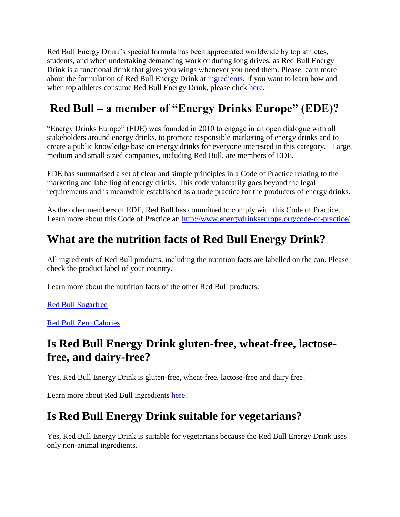Red Bull Energy Drink's special formula has been appreciated worldwide by top athletes, students, and when undertaking demanding work or during long drives, as Red Bull Energy Drink is a functional drink that gives you wings whenever you need them. Please learn more about the formulation of Red Bull Energy Drink at [ingredients.](https://www.redbull.com/int-en/energydrink/red-bull-energy-drink-ingredients-list) If you want to learn how and when top athletes consume Red Bull Energy Drink, please click [here.](https://www.redbull.com/int-en/energydrink/red-bull-during-sports)

# **Red Bull – a member of "Energy Drinks Europe" (EDE)?**

"Energy Drinks Europe" (EDE) was founded in 2010 to engage in an open dialogue with all stakeholders around energy drinks, to promote responsible marketing of energy drinks and to create a public knowledge base on energy drinks for everyone interested in this category. Large, medium and small sized companies, including Red Bull, are members of EDE.

EDE has summarised a set of clear and simple principles in a Code of Practice relating to the marketing and labelling of energy drinks. This code voluntarily goes beyond the legal requirements and is meanwhile established as a trade practice for the producers of energy drinks.

As the other members of EDE, Red Bull has committed to comply with this Code of Practice. Learn more about this Code of Practice at: <http://www.energydrinkseurope.org/code-of-practice/>

#### **What are the nutrition facts of Red Bull Energy Drink?**

All ingredients of Red Bull products, including the nutrition facts are labelled on the can. Please check the product label of your country.

Learn more about the nutrition facts of the other Red Bull products:

Red [Bull Sugarfree](https://www.redbull.com/int-en/energydrink/red-bull-sugarfree)

Red [Bull Zero Calories](https://www.redbull.com/int-en/energydrink/red-bull-zero-calories)

#### **Is Red Bull Energy Drink gluten-free, wheat-free, lactosefree, and dairy-free?**

Yes, Red Bull Energy Drink is gluten-free, wheat-free, lactose-free and dairy free!

Learn more about Red Bull ingredients [here.](https://www.redbull.com/int-en/energydrink/red-bull-energy-drink-ingredients-list)

#### **Is Red Bull Energy Drink suitable for vegetarians?**

Yes, Red Bull Energy Drink is suitable for vegetarians because the Red Bull Energy Drink uses only non-animal ingredients.